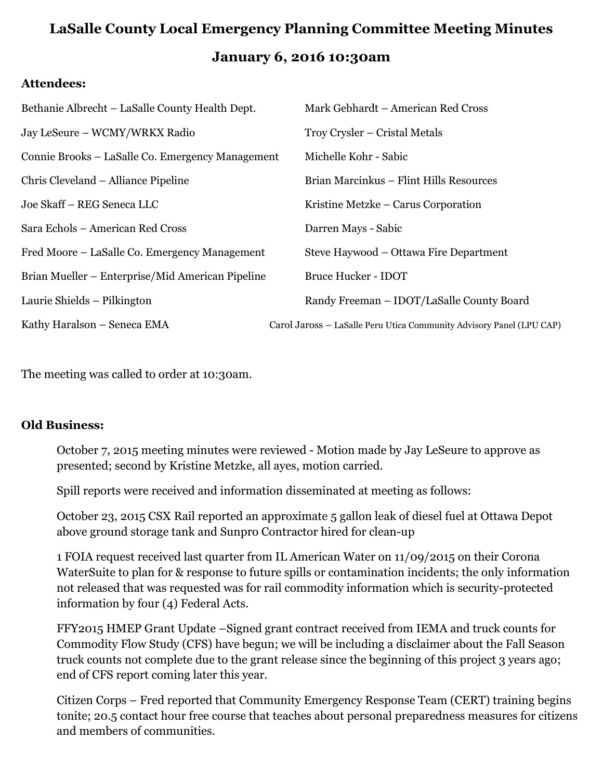# **LaSalle County Local Emergency Planning Committee Meeting Minutes January 6, 2016 10:30am**

#### **Attendees:**

| Bethanie Albrecht – LaSalle County Health Dept.  | Mark Gebhardt – American Red Cross                                   |
|--------------------------------------------------|----------------------------------------------------------------------|
| Jay LeSeure - WCMY/WRKX Radio                    | Troy Crysler – Cristal Metals                                        |
| Connie Brooks – LaSalle Co. Emergency Management | Michelle Kohr - Sabic                                                |
| Chris Cleveland – Alliance Pipeline              | Brian Marcinkus – Flint Hills Resources                              |
| Joe Skaff - REG Seneca LLC                       | Kristine Metzke – Carus Corporation                                  |
| Sara Echols – American Red Cross                 | Darren Mays - Sabic                                                  |
| Fred Moore – LaSalle Co. Emergency Management    | Steve Haywood - Ottawa Fire Department                               |
| Brian Mueller – Enterprise/Mid American Pipeline | <b>Bruce Hucker - IDOT</b>                                           |
| Laurie Shields – Pilkington                      | Randy Freeman - IDOT/LaSalle County Board                            |
| Kathy Haralson - Seneca EMA                      | Carol Jaross - LaSalle Peru Utica Community Advisory Panel (LPU CAP) |
|                                                  |                                                                      |

The meeting was called to order at 10:30am.

#### **Old Business:**

October 7, 2015 meeting minutes were reviewed - Motion made by Jay LeSeure to approve as presented; second by Kristine Metzke, all ayes, motion carried.

Spill reports were received and information disseminated at meeting as follows:

October 23, 2015 CSX Rail reported an approximate 5 gallon leak of diesel fuel at Ottawa Depot above ground storage tank and Sunpro Contractor hired for clean-up

1 FOIA request received last quarter from IL American Water on 11/09/2015 on their Corona WaterSuite to plan for & response to future spills or contamination incidents; the only information not released that was requested was for rail commodity information which is security-protected information by four (4) Federal Acts.

FFY2015 HMEP Grant Update –Signed grant contract received from IEMA and truck counts for Commodity Flow Study (CFS) have begun; we will be including a disclaimer about the Fall Season truck counts not complete due to the grant release since the beginning of this project 3 years ago; end of CFS report coming later this year.

Citizen Corps – Fred reported that Community Emergency Response Team (CERT) training begins tonite; 20.5 contact hour free course that teaches about personal preparedness measures for citizens and members of communities.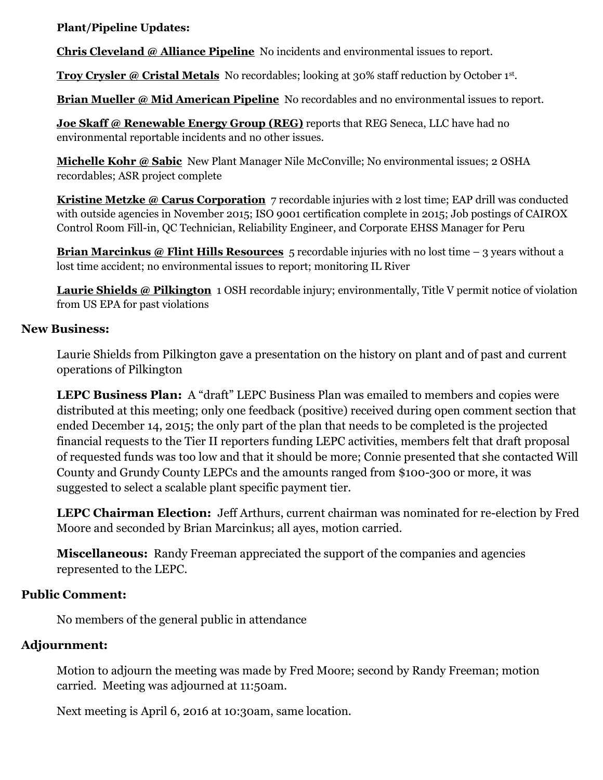**Plant/Pipeline Updates:**

**Chris Cleveland @ Alliance Pipeline** No incidents and environmental issues to report.

**Troy Crysler @ Cristal Metals** No recordables; looking at 30% staff reduction by October 1st .

**Brian Mueller @ Mid American Pipeline** No recordables and no environmental issues to report.

**Joe Skaff @ Renewable Energy Group (REG)** reports that REG Seneca, LLC have had no environmental reportable incidents and no other issues.

**Michelle Kohr @ Sabic** New Plant Manager Nile McConville; No environmental issues; 2 OSHA recordables; ASR project complete

**Kristine Metzke @ Carus Corporation** 7 recordable injuries with 2 lost time; EAP drill was conducted with outside agencies in November 2015; ISO 9001 certification complete in 2015; Job postings of CAIROX Control Room Fill-in, QC Technician, Reliability Engineer, and Corporate EHSS Manager for Peru

**Brian Marcinkus @ Flint Hills Resources** 5 recordable injuries with no lost time – 3 years without a lost time accident; no environmental issues to report; monitoring IL River

**Laurie Shields @ Pilkington** 1 OSH recordable injury; environmentally, Title V permit notice of violation from US EPA for past violations

#### **New Business:**

Laurie Shields from Pilkington gave a presentation on the history on plant and of past and current operations of Pilkington

LEPC Business Plan: A "draft" LEPC Business Plan was emailed to members and copies were distributed at this meeting; only one feedback (positive) received during open comment section that ended December 14, 2015; the only part of the plan that needs to be completed is the projected financial requests to the Tier II reporters funding LEPC activities, members felt that draft proposal of requested funds was too low and that it should be more; Connie presented that she contacted Will County and Grundy County LEPCs and the amounts ranged from \$100-300 or more, it was suggested to select a scalable plant specific payment tier.

**LEPC Chairman Election:** Jeff Arthurs, current chairman was nominated for re-election by Fred Moore and seconded by Brian Marcinkus; all ayes, motion carried.

**Miscellaneous:** Randy Freeman appreciated the support of the companies and agencies represented to the LEPC.

### **Public Comment:**

No members of the general public in attendance

## **Adjournment:**

Motion to adjourn the meeting was made by Fred Moore; second by Randy Freeman; motion carried. Meeting was adjourned at 11:50am.

Next meeting is April 6, 2016 at 10:30am, same location.